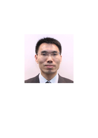